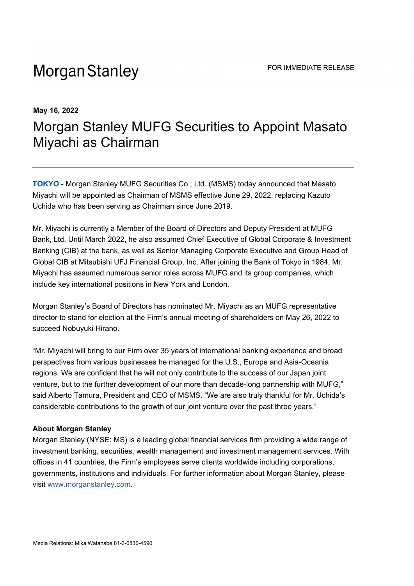## **Morgan Stanley**

## **May 16, 2022** Morgan Stanley MUFG Securities to Appoint Masato Miyachi as Chairman

**TOKYO** - Morgan Stanley MUFG Securities Co., Ltd. (MSMS) today announced that Masato Miyachi will be appointed as Chairman of MSMS effective June 29, 2022, replacing Kazuto Uchida who has been serving as Chairman since June 2019.

Mr. Miyachi is currently a Member of the Board of Directors and Deputy President at MUFG Bank, Ltd. Until March 2022, he also assumed Chief Executive of Global Corporate & Investment Banking (CIB) at the bank, as well as Senior Managing Corporate Executive and Group Head of Global CIB at Mitsubishi UFJ Financial Group, Inc. After joining the Bank of Tokyo in 1984, Mr. Miyachi has assumed numerous senior roles across MUFG and its group companies, which include key international positions in New York and London.

Morgan Stanley's Board of Directors has nominated Mr. Miyachi as an MUFG representative director to stand for election at the Firm's annual meeting of shareholders on May 26, 2022 to succeed Nobuyuki Hirano.

"Mr. Miyachi will bring to our Firm over 35 years of international banking experience and broad perspectives from various businesses he managed for the U.S., Europe and Asia-Oceania regions. We are confident that he will not only contribute to the success of our Japan joint venture, but to the further development of our more than decade-long partnership with MUFG," said Alberto Tamura, President and CEO of MSMS. "We are also truly thankful for Mr. Uchida's considerable contributions to the growth of our joint venture over the past three years."

## **About Morgan Stanley**

Morgan Stanley (NYSE: MS) is a leading global financial services firm providing a wide range of investment banking, securities, wealth management and investment management services. With offices in 41 countries, the Firm's employees serve clients worldwide including corporations, governments, institutions and individuals. For further information about Morgan Stanley, please visit www.morganstanley.com.